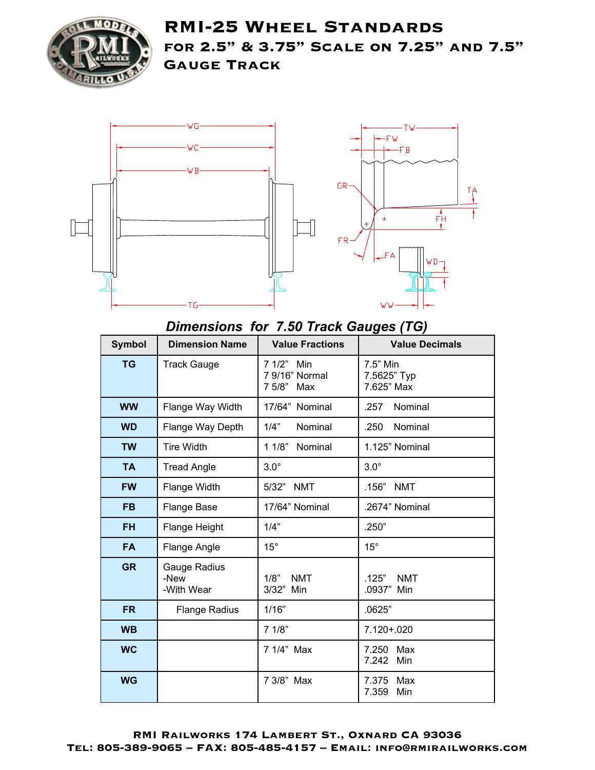

**RMI-25 Wheel Standards for 2.5" & 3.75" Scale on 7.25" and 7.5" Gauge Track**



#### *Dimensions for 7.50 Track Gauges (TG)*

| <b>Symbol</b> | <b>Dimension Name</b>              | <b>Value Fractions</b>                     | <b>Value Decimals</b>                 |
|---------------|------------------------------------|--------------------------------------------|---------------------------------------|
| <b>TG</b>     | <b>Track Gauge</b>                 | 7 1/2" Min<br>7 9/16" Normal<br>7 5/8" Max | 7.5" Min<br>7.5625" Typ<br>7.625" Max |
| <b>WW</b>     | Flange Way Width                   | 17/64" Nominal                             | Nominal<br>.257                       |
| <b>WD</b>     | Flange Way Depth                   | 1/4"<br>Nominal                            | Nominal<br>.250                       |
| <b>TW</b>     | <b>Tire Width</b>                  | 11/8"<br>Nominal                           | 1.125" Nominal                        |
| <b>TA</b>     | <b>Tread Angle</b>                 | $3.0^\circ$                                | $3.0^\circ$                           |
| <b>FW</b>     | Flange Width                       | 5/32"<br><b>NMT</b>                        | .156"<br><b>NMT</b>                   |
| <b>FB</b>     | Flange Base                        | 17/64" Nominal                             | .2674" Nominal                        |
| <b>FH</b>     | Flange Height                      | 1/4"                                       | .250"                                 |
| <b>FA</b>     | Flange Angle                       | $15^\circ$                                 | $15^\circ$                            |
| <b>GR</b>     | Gauge Radius<br>-New<br>-With Wear | 1/8"<br><b>NMT</b><br>3/32" Min            | .125"<br><b>NMT</b><br>.0937"<br>Min  |
| <b>FR</b>     | <b>Flange Radius</b>               | 1/16"                                      | .0625"                                |
| <b>WB</b>     |                                    | 71/8"                                      | 7.120+.020                            |
| <b>WC</b>     |                                    | 7 1/4" Max                                 | 7.250<br>Max<br>7.242<br>Min          |
| <b>WG</b>     |                                    | 7 3/8" Max                                 | 7.375 Max<br>7.359<br>Min             |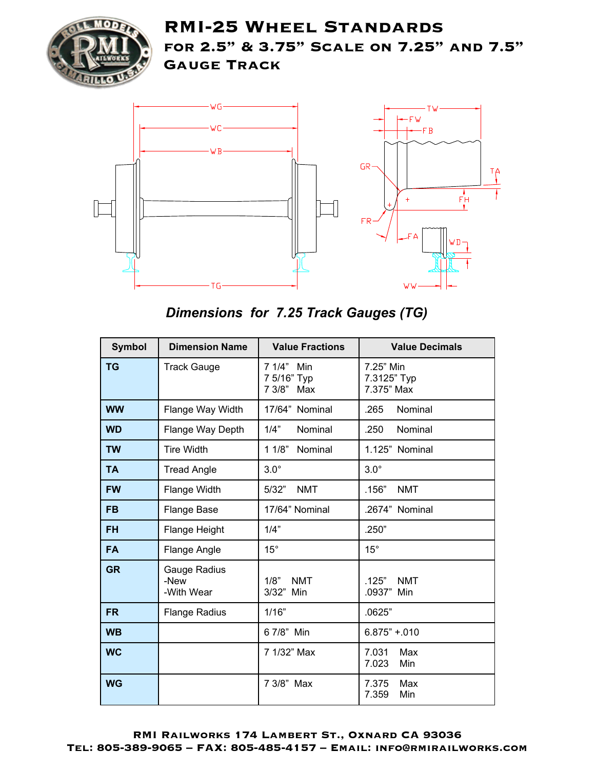

# **RMI-25 Wheel Standards for 2.5" & 3.75" Scale on 7.25" and 7.5" Gauge Track**



## *Dimensions for 7.25 Track Gauges (TG)*

| <b>Symbol</b> | <b>Dimension Name</b>              | <b>Value Fractions</b>                  | <b>Value Decimals</b>                  |
|---------------|------------------------------------|-----------------------------------------|----------------------------------------|
| <b>TG</b>     | <b>Track Gauge</b>                 | 7 1/4" Min<br>7 5/16" Typ<br>7 3/8" Max | 7.25" Min<br>7.3125" Typ<br>7.375" Max |
| <b>WW</b>     | Flange Way Width                   | 17/64" Nominal                          | .265<br>Nominal                        |
| <b>WD</b>     | Flange Way Depth                   | 1/4"<br>Nominal                         | .250<br>Nominal                        |
| <b>TW</b>     | <b>Tire Width</b>                  | 11/8"<br>Nominal                        | 1.125" Nominal                         |
| <b>TA</b>     | <b>Tread Angle</b>                 | $3.0^\circ$                             | $3.0^\circ$                            |
| <b>FW</b>     | Flange Width                       | 5/32"<br><b>NMT</b>                     | .156"<br><b>NMT</b>                    |
| <b>FB</b>     | <b>Flange Base</b>                 | 17/64" Nominal                          | .2674" Nominal                         |
| FH            | Flange Height                      | 1/4"                                    | .250"                                  |
| <b>FA</b>     | Flange Angle                       | $15^{\circ}$                            | $15^\circ$                             |
| <b>GR</b>     | Gauge Radius<br>-New<br>-With Wear | 1/8"<br><b>NMT</b><br>3/32" Min         | .125"<br><b>NMT</b><br>.0937"<br>Min   |
| <b>FR</b>     | <b>Flange Radius</b>               | 1/16"                                   | .0625"                                 |
| <b>WB</b>     |                                    | 6 7/8" Min                              | $6.875" + 0.010$                       |
| <b>WC</b>     |                                    | 7 1/32" Max                             | 7.031<br>Max<br>7.023<br>Min           |
| <b>WG</b>     |                                    | 7 3/8" Max                              | 7.375<br>Max<br>7.359<br>Min           |